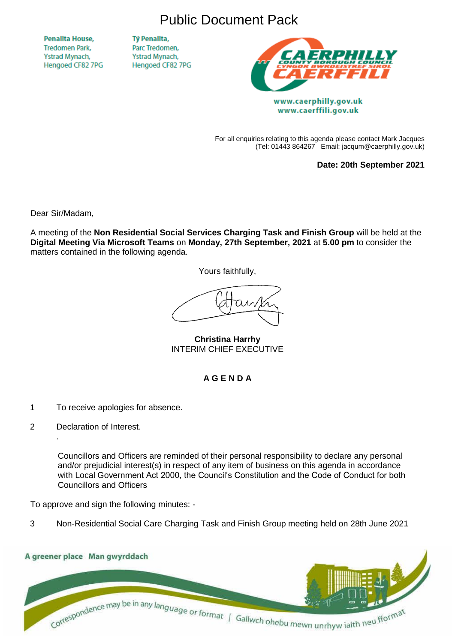# Public Document Pack

**Penallta House, Tredomen Park.** Ystrad Mynach, Hengoed CF82 7PG

**TV Penallta,** Parc Tredomen. Ystrad Mynach, Hengoed CF82 7PG



www.caerphilly.gov.uk www.caerffili.gov.uk

For all enquiries relating to this agenda please contact Mark Jacques (Tel: 01443 864267 Email: jacqum@caerphilly.gov.uk)

**Date: 20th September 2021**

Dear Sir/Madam,

A meeting of the **Non Residential Social Services Charging Task and Finish Group** will be held at the **Digital Meeting Via Microsoft Teams** on **Monday, 27th September, 2021** at **5.00 pm** to consider the matters contained in the following agenda.

Yours faithfully,

**Christina Harrhy** INTERIM CHIEF EXECUTIVE

#### **A G E N D A**

- 1 To receive apologies for absence.
- 2 Declaration of Interest.

.

Councillors and Officers are reminded of their personal responsibility to declare any personal and/or prejudicial interest(s) in respect of any item of business on this agenda in accordance with Local Government Act 2000, the Council's Constitution and the Code of Conduct for both Councillors and Officers

To approve and sign the following minutes: -

3 Non-Residential Social Care Charging Task and Finish Group meeting held on 28th June 2021

### A greener place Man gwyrddach

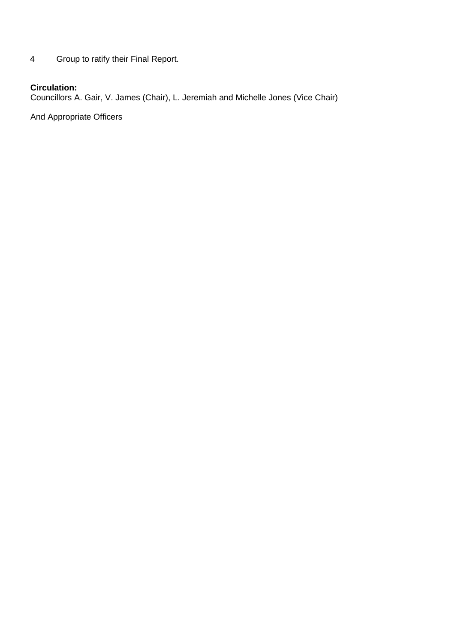4 Group to ratify their Final Report.

#### **Circulation:**

Councillors A. Gair, V. James (Chair), L. Jeremiah and Michelle Jones (Vice Chair)

And Appropriate Officers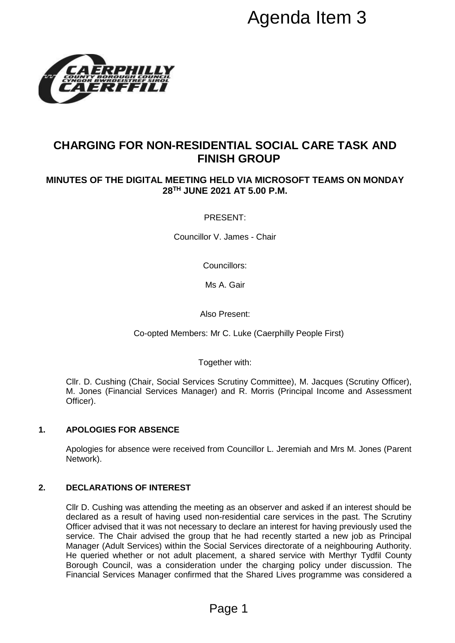

## **CHARGING FOR NON-RESIDENTIAL SOCIAL CARE TASK AND FINISH GROUP**

#### **MINUTES OF THE DIGITAL MEETING HELD VIA MICROSOFT TEAMS ON MONDAY 28TH JUNE 2021 AT 5.00 P.M.**

PRESENT:

Councillor V. James - Chair

Councillors:

Ms A. Gair

Also Present:

Co-opted Members: Mr C. Luke (Caerphilly People First)

Together with:

Cllr. D. Cushing (Chair, Social Services Scrutiny Committee), M. Jacques (Scrutiny Officer), M. Jones (Financial Services Manager) and R. Morris (Principal Income and Assessment Officer).

#### **1. APOLOGIES FOR ABSENCE**

Apologies for absence were received from Councillor L. Jeremiah and Mrs M. Jones (Parent Network).

#### **2. DECLARATIONS OF INTEREST**

Cllr D. Cushing was attending the meeting as an observer and asked if an interest should be declared as a result of having used non-residential care services in the past. The Scrutiny Officer advised that it was not necessary to declare an interest for having previously used the service. The Chair advised the group that he had recently started a new job as Principal Manager (Adult Services) within the Social Services directorate of a neighbouring Authority. He queried whether or not adult placement, a shared service with Merthyr Tydfil County Borough Council, was a consideration under the charging policy under discussion. The Financial Services Manager confirmed that the Shared Lives programme was considered a **ENTIAL SOCIAL CARE TASK**<br> **ENTIAL SOCIAL CARE TASK**<br> **NISH GROUP**<br> **HELD VIA MICROSOFT TEAMS ON MERD VIA MICROSOFT TEAMS ON MESSENT:**<br>
PAGENT:<br>
PAGENT:<br>
PAGENT:<br>
PAGENT:<br>
SAGE CAST COMPTABLY PROPERTING ON MERD SOFT AND MO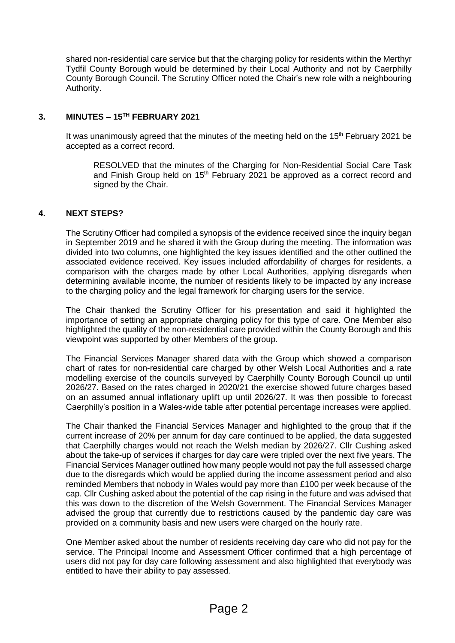shared non-residential care service but that the charging policy for residents within the Merthyr Tydfil County Borough would be determined by their Local Authority and not by Caerphilly County Borough Council. The Scrutiny Officer noted the Chair's new role with a neighbouring Authority.

#### **3. MINUTES – 15TH FEBRUARY 2021**

It was unanimously agreed that the minutes of the meeting held on the  $15<sup>th</sup>$  February 2021 be accepted as a correct record.

RESOLVED that the minutes of the Charging for Non-Residential Social Care Task and Finish Group held on 15<sup>th</sup> February 2021 be approved as a correct record and signed by the Chair.

#### **4. NEXT STEPS?**

The Scrutiny Officer had compiled a synopsis of the evidence received since the inquiry began in September 2019 and he shared it with the Group during the meeting. The information was divided into two columns, one highlighted the key issues identified and the other outlined the associated evidence received. Key issues included affordability of charges for residents, a comparison with the charges made by other Local Authorities, applying disregards when determining available income, the number of residents likely to be impacted by any increase to the charging policy and the legal framework for charging users for the service.

The Chair thanked the Scrutiny Officer for his presentation and said it highlighted the importance of setting an appropriate charging policy for this type of care. One Member also highlighted the quality of the non-residential care provided within the County Borough and this viewpoint was supported by other Members of the group.

The Financial Services Manager shared data with the Group which showed a comparison chart of rates for non-residential care charged by other Welsh Local Authorities and a rate modelling exercise of the councils surveyed by Caerphilly County Borough Council up until 2026/27. Based on the rates charged in 2020/21 the exercise showed future charges based on an assumed annual inflationary uplift up until 2026/27. It was then possible to forecast Caerphilly's position in a Wales-wide table after potential percentage increases were applied.

The Chair thanked the Financial Services Manager and highlighted to the group that if the current increase of 20% per annum for day care continued to be applied, the data suggested that Caerphilly charges would not reach the Welsh median by 2026/27. Cllr Cushing asked about the take-up of services if charges for day care were tripled over the next five years. The Financial Services Manager outlined how many people would not pay the full assessed charge due to the disregards which would be applied during the income assessment period and also reminded Members that nobody in Wales would pay more than £100 per week because of the cap. Cllr Cushing asked about the potential of the cap rising in the future and was advised that this was down to the discretion of the Welsh Government. The Financial Services Manager advised the group that currently due to restrictions caused by the pandemic day care was provided on a community basis and new users were charged on the hourly rate.

One Member asked about the number of residents receiving day care who did not pay for the service. The Principal Income and Assessment Officer confirmed that a high percentage of users did not pay for day care following assessment and also highlighted that everybody was entitled to have their ability to pay assessed.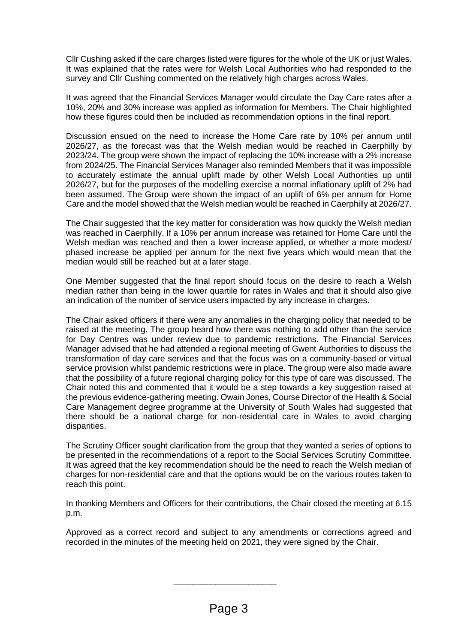Cllr Cushing asked if the care charges listed were figures for the whole of the UK or just Wales. It was explained that the rates were for Welsh Local Authorities who had responded to the survey and Cllr Cushing commented on the relatively high charges across Wales.

It was agreed that the Financial Services Manager would circulate the Day Care rates after a 10%, 20% and 30% increase was applied as information for Members. The Chair highlighted how these figures could then be included as recommendation options in the final report.

Discussion ensued on the need to increase the Home Care rate by 10% per annum until 2026/27, as the forecast was that the Welsh median would be reached in Caerphilly by 2023/24. The group were shown the impact of replacing the 10% increase with a 2% increase from 2024/25. The Financial Services Manager also reminded Members that it was impossible to accurately estimate the annual uplift made by other Welsh Local Authorities up until 2026/27, but for the purposes of the modelling exercise a normal inflationary uplift of 2% had been assumed. The Group were shown the impact of an uplift of 6% per annum for Home Care and the model showed that the Welsh median would be reached in Caerphilly at 2026/27.

The Chair suggested that the key matter for consideration was how quickly the Welsh median was reached in Caerphilly. If a 10% per annum increase was retained for Home Care until the Welsh median was reached and then a lower increase applied, or whether a more modest/ phased increase be applied per annum for the next five years which would mean that the median would still be reached but at a later stage.

One Member suggested that the final report should focus on the desire to reach a Welsh median rather than being in the lower quartile for rates in Wales and that it should also give an indication of the number of service users impacted by any increase in charges.

The Chair asked officers if there were any anomalies in the charging policy that needed to be raised at the meeting. The group heard how there was nothing to add other than the service for Day Centres was under review due to pandemic restrictions. The Financial Services Manager advised that he had attended a regional meeting of Gwent Authorities to discuss the transformation of day care services and that the focus was on a community-based or virtual service provision whilst pandemic restrictions were in place. The group were also made aware that the possibility of a future regional charging policy for this type of care was discussed. The Chair noted this and commented that it would be a step towards a key suggestion raised at the previous evidence-gathering meeting. Owain Jones, Course Director of the Health & Social Care Management degree programme at the University of South Wales had suggested that there should be a national charge for non-residential care in Wales to avoid charging disparities.

The Scrutiny Officer sought clarification from the group that they wanted a series of options to be presented in the recommendations of a report to the Social Services Scrutiny Committee. It was agreed that the key recommendation should be the need to reach the Welsh median of charges for non-residential care and that the options would be on the various routes taken to reach this point.

In thanking Members and Officers for their contributions, the Chair closed the meeting at 6.15 p.m.

Approved as a correct record and subject to any amendments or corrections agreed and recorded in the minutes of the meeting held on 2021, they were signed by the Chair.

\_\_\_\_\_\_\_\_\_\_\_\_\_\_\_\_\_\_\_\_\_\_